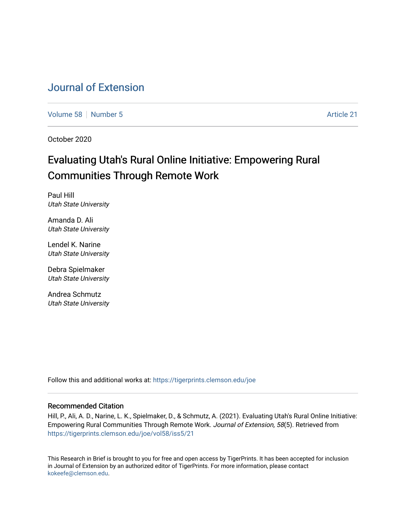# [Journal of Extension](https://tigerprints.clemson.edu/joe)

[Volume 58](https://tigerprints.clemson.edu/joe/vol58) [Number 5](https://tigerprints.clemson.edu/joe/vol58/iss5) Article 21

October 2020

# Evaluating Utah's Rural Online Initiative: Empowering Rural Communities Through Remote Work

Paul Hill Utah State University

Amanda D. Ali Utah State University

Lendel K. Narine Utah State University

Debra Spielmaker Utah State University

Andrea Schmutz Utah State University

Follow this and additional works at: [https://tigerprints.clemson.edu/joe](https://tigerprints.clemson.edu/joe?utm_source=tigerprints.clemson.edu%2Fjoe%2Fvol58%2Fiss5%2F21&utm_medium=PDF&utm_campaign=PDFCoverPages) 

### Recommended Citation

Hill, P., Ali, A. D., Narine, L. K., Spielmaker, D., & Schmutz, A. (2021). Evaluating Utah's Rural Online Initiative: Empowering Rural Communities Through Remote Work. Journal of Extension, 58(5). Retrieved from [https://tigerprints.clemson.edu/joe/vol58/iss5/21](https://tigerprints.clemson.edu/joe/vol58/iss5/21?utm_source=tigerprints.clemson.edu%2Fjoe%2Fvol58%2Fiss5%2F21&utm_medium=PDF&utm_campaign=PDFCoverPages)

This Research in Brief is brought to you for free and open access by TigerPrints. It has been accepted for inclusion in Journal of Extension by an authorized editor of TigerPrints. For more information, please contact [kokeefe@clemson.edu](mailto:kokeefe@clemson.edu).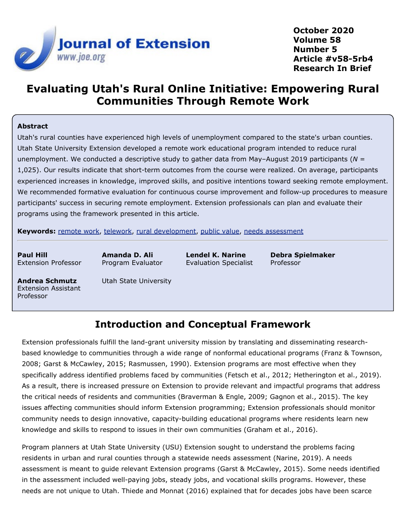

**October 2020 Volume 58 Number 5 Article #v58-5rb4 Research In Brief**

# **Evaluating Utah's Rural Online Initiative: Empowering Rural Communities Through Remote Work**

### **Abstract**

Utah's rural counties have experienced high levels of unemployment compared to the state's urban counties. Utah State University Extension developed a remote work educational program intended to reduce rural unemployment. We conducted a descriptive study to gather data from May–August 2019 participants (*N* = 1,025). Our results indicate that short-term outcomes from the course were realized. On average, participants experienced increases in knowledge, improved skills, and positive intentions toward seeking remote employment. We recommended formative evaluation for continuous course improvement and follow-up procedures to measure participants' success in securing remote employment. Extension professionals can plan and evaluate their programs using the framework presented in this article.

**Keywords:** [remote work](https://joe.org/search-results.php?cx=010816128502272931564%3Aopgn_voyplk&cof=FORID%3A10&ie=UTF-8&q=remote work&sa=Search+JOE#1039\), [telework](https://joe.org/search-results.php?cx=010816128502272931564%3Aopgn_voyplk&cof=FORID%3A10&ie=UTF-8&q=telework&sa=Search+JOE#1039\), [rural development](https://joe.org/search-results.php?cx=010816128502272931564%3Aopgn_voyplk&cof=FORID%3A10&ie=UTF-8&q=rural development&sa=Search+JOE#1039\), [public value](https://joe.org/search-results.php?cx=010816128502272931564%3Aopgn_voyplk&cof=FORID%3A10&ie=UTF-8&q=public value&sa=Search+JOE#1039\), [needs assessment](https://joe.org/search-results.php?cx=010816128502272931564%3Aopgn_voyplk&cof=FORID%3A10&ie=UTF-8&q=needs assessment&sa=Search+JOE#1039)

**Paul Hill** Extension Professor **Amanda D. Ali** Program Evaluator

**Lendel K. Narine** Evaluation Specialist

**Debra Spielmaker** Professor

**Andrea Schmutz** Extension Assistant Professor

Utah State University

## **Introduction and Conceptual Framework**

Extension professionals fulfill the land-grant university mission by translating and disseminating researchbased knowledge to communities through a wide range of nonformal educational programs (Franz & Townson, 2008; Garst & McCawley, 2015; Rasmussen, 1990). Extension programs are most effective when they specifically address identified problems faced by communities (Fetsch et al., 2012; Hetherington et al., 2019). As a result, there is increased pressure on Extension to provide relevant and impactful programs that address the critical needs of residents and communities (Braverman & Engle, 2009; Gagnon et al., 2015). The key issues affecting communities should inform Extension programming; Extension professionals should monitor community needs to design innovative, capacity-building educational programs where residents learn new knowledge and skills to respond to issues in their own communities (Graham et al., 2016).

Program planners at Utah State University (USU) Extension sought to understand the problems facing residents in urban and rural counties through a statewide needs assessment (Narine, 2019). A needs assessment is meant to guide relevant Extension programs (Garst & McCawley, 2015). Some needs identified in the assessment included well-paying jobs, steady jobs, and vocational skills programs. However, these needs are not unique to Utah. Thiede and Monnat (2016) explained that for decades jobs have been scarce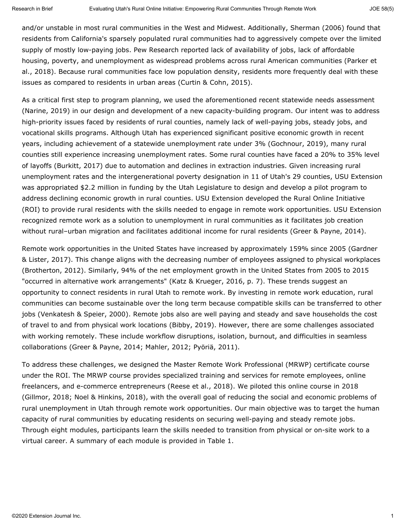and/or unstable in most rural communities in the West and Midwest. Additionally, Sherman (2006) found that residents from California's sparsely populated rural communities had to aggressively compete over the limited supply of mostly low-paying jobs. Pew Research reported lack of availability of jobs, lack of affordable housing, poverty, and unemployment as widespread problems across rural American communities (Parker et al., 2018). Because rural communities face low population density, residents more frequently deal with these issues as compared to residents in urban areas (Curtin & Cohn, 2015).

As a critical first step to program planning, we used the aforementioned recent statewide needs assessment (Narine, 2019) in our design and development of a new capacity-building program. Our intent was to address high-priority issues faced by residents of rural counties, namely lack of well-paying jobs, steady jobs, and vocational skills programs. Although Utah has experienced significant positive economic growth in recent years, including achievement of a statewide unemployment rate under 3% (Gochnour, 2019), many rural counties still experience increasing unemployment rates. Some rural counties have faced a 20% to 35% level of layoffs (Burkitt, 2017) due to automation and declines in extraction industries. Given increasing rural unemployment rates and the intergenerational poverty designation in 11 of Utah's 29 counties, USU Extension was appropriated \$2.2 million in funding by the Utah Legislature to design and develop a pilot program to address declining economic growth in rural counties. USU Extension developed the Rural Online Initiative (ROI) to provide rural residents with the skills needed to engage in remote work opportunities. USU Extension recognized remote work as a solution to unemployment in rural communities as it facilitates job creation without rural-urban migration and facilitates additional income for rural residents (Greer & Payne, 2014).

Remote work opportunities in the United States have increased by approximately 159% since 2005 (Gardner & Lister, 2017). This change aligns with the decreasing number of employees assigned to physical workplaces (Brotherton, 2012). Similarly, 94% of the net employment growth in the United States from 2005 to 2015 "occurred in alternative work arrangements" (Katz & Krueger, 2016, p. 7). These trends suggest an opportunity to connect residents in rural Utah to remote work. By investing in remote work education, rural communities can become sustainable over the long term because compatible skills can be transferred to other jobs (Venkatesh & Speier, 2000). Remote jobs also are well paying and steady and save households the cost of travel to and from physical work locations (Bibby, 2019). However, there are some challenges associated with working remotely. These include workflow disruptions, isolation, burnout, and difficulties in seamless collaborations (Greer & Payne, 2014; Mahler, 2012; Pyöriä, 2011).

To address these challenges, we designed the Master Remote Work Professional (MRWP) certificate course under the ROI. The MRWP course provides specialized training and services for remote employees, online freelancers, and e-commerce entrepreneurs (Reese et al., 2018). We piloted this online course in 2018 (Gillmor, 2018; Noel & Hinkins, 2018), with the overall goal of reducing the social and economic problems of rural unemployment in Utah through remote work opportunities. Our main objective was to target the human capacity of rural communities by educating residents on securing well-paying and steady remote jobs. Through eight modules, participants learn the skills needed to transition from physical or on-site work to a virtual career. A summary of each module is provided in Table 1.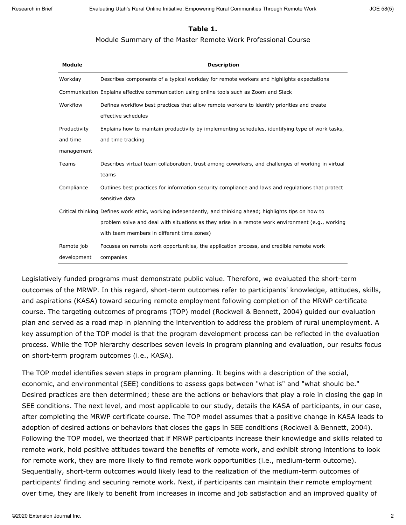### **Table 1.**

#### Module Summary of the Master Remote Work Professional Course

| Module                                                                                                     | <b>Description</b>                                                                                                  |  |
|------------------------------------------------------------------------------------------------------------|---------------------------------------------------------------------------------------------------------------------|--|
| Workday                                                                                                    | Describes components of a typical workday for remote workers and highlights expectations                            |  |
|                                                                                                            | Communication Explains effective communication using online tools such as Zoom and Slack                            |  |
| Workflow                                                                                                   | Defines workflow best practices that allow remote workers to identify priorities and create<br>effective schedules  |  |
| Productivity                                                                                               | Explains how to maintain productivity by implementing schedules, identifying type of work tasks,                    |  |
| and time                                                                                                   | and time tracking                                                                                                   |  |
| management                                                                                                 |                                                                                                                     |  |
| Teams                                                                                                      | Describes virtual team collaboration, trust among coworkers, and challenges of working in virtual<br>teams          |  |
| Compliance                                                                                                 | Outlines best practices for information security compliance and laws and regulations that protect<br>sensitive data |  |
| Critical thinking Defines work ethic, working independently, and thinking ahead; highlights tips on how to |                                                                                                                     |  |
|                                                                                                            | problem solve and deal with situations as they arise in a remote work environment (e.g., working                    |  |
|                                                                                                            | with team members in different time zones)                                                                          |  |
| Remote job                                                                                                 | Focuses on remote work opportunities, the application process, and credible remote work                             |  |
| development                                                                                                | companies                                                                                                           |  |

Legislatively funded programs must demonstrate public value. Therefore, we evaluated the short-term outcomes of the MRWP. In this regard, short-term outcomes refer to participants' knowledge, attitudes, skills, and aspirations (KASA) toward securing remote employment following completion of the MRWP certificate course. The targeting outcomes of programs (TOP) model (Rockwell & Bennett, 2004) guided our evaluation plan and served as a road map in planning the intervention to address the problem of rural unemployment. A key assumption of the TOP model is that the program development process can be reflected in the evaluation process. While the TOP hierarchy describes seven levels in program planning and evaluation, our results focus on short-term program outcomes (i.e., KASA).

The TOP model identifies seven steps in program planning. It begins with a description of the social, economic, and environmental (SEE) conditions to assess gaps between "what is" and "what should be." Desired practices are then determined; these are the actions or behaviors that play a role in closing the gap in SEE conditions. The next level, and most applicable to our study, details the KASA of participants, in our case, after completing the MRWP certificate course. The TOP model assumes that a positive change in KASA leads to adoption of desired actions or behaviors that closes the gaps in SEE conditions (Rockwell & Bennett, 2004). Following the TOP model, we theorized that if MRWP participants increase their knowledge and skills related to remote work, hold positive attitudes toward the benefits of remote work, and exhibit strong intentions to look for remote work, they are more likely to find remote work opportunities (i.e., medium-term outcome). Sequentially, short-term outcomes would likely lead to the realization of the medium-term outcomes of participants' finding and securing remote work. Next, if participants can maintain their remote employment over time, they are likely to benefit from increases in income and job satisfaction and an improved quality of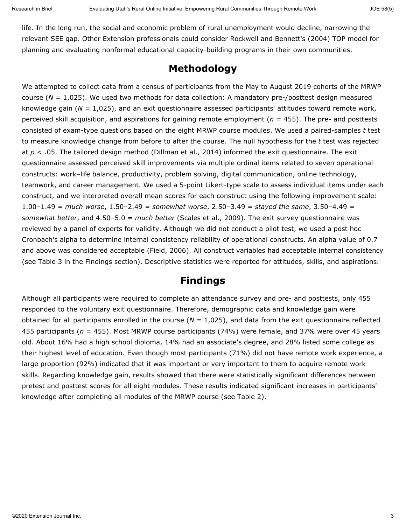life. In the long run, the social and economic problem of rural unemployment would decline, narrowing the relevant SEE gap. Other Extension professionals could consider Rockwell and Bennett's (2004) TOP model for planning and evaluating nonformal educational capacity-building programs in their own communities.

## **Methodology**

We attempted to collect data from a census of participants from the May to August 2019 cohorts of the MRWP course (*N =* 1,025). We used two methods for data collection: A mandatory pre-/posttest design measured knowledge gain (*N* = 1,025), and an exit questionnaire assessed participants' attitudes toward remote work, perceived skill acquisition, and aspirations for gaining remote employment (*n* = 455). The pre- and posttests consisted of exam-type questions based on the eight MRWP course modules. We used a paired-samples *t* test to measure knowledge change from before to after the course. The null hypothesis for the *t* test was rejected at *p* < .05. The tailored design method (Dillman et al., 2014) informed the exit questionnaire. The exit questionnaire assessed perceived skill improvements via multiple ordinal items related to seven operational constructs: work–life balance, productivity, problem solving, digital communication, online technology, teamwork, and career management. We used a 5-point Likert-type scale to assess individual items under each construct, and we interpreted overall mean scores for each construct using the following improvement scale: 1.00–1.49 = *much worse*, 1.50–2.49 = *somewhat worse*, 2.50–3.49 = *stayed the same*, 3.50–4.49 = *somewhat better*, and 4.50–5.0 = *much better* (Scales et al., 2009). The exit survey questionnaire was reviewed by a panel of experts for validity. Although we did not conduct a pilot test, we used a post hoc Cronbach's alpha to determine internal consistency reliability of operational constructs. An alpha value of 0.7 and above was considered acceptable (Field, 2006). All construct variables had acceptable internal consistency (see Table 3 in the Findings section). Descriptive statistics were reported for attitudes, skills, and aspirations.

## **Findings**

Although all participants were required to complete an attendance survey and pre- and posttests, only 455 responded to the voluntary exit questionnaire. Therefore, demographic data and knowledge gain were obtained for all participants enrolled in the course (*N* = 1,025), and data from the exit questionnaire reflected 455 participants (*n* = 455). Most MRWP course participants (74%) were female, and 37% were over 45 years old. About 16% had a high school diploma, 14% had an associate's degree, and 28% listed some college as their highest level of education. Even though most participants (71%) did not have remote work experience, a large proportion (92%) indicated that it was important or very important to them to acquire remote work skills. Regarding knowledge gain, results showed that there were statistically significant differences between pretest and posttest scores for all eight modules. These results indicated significant increases in participants' knowledge after completing all modules of the MRWP course (see Table 2).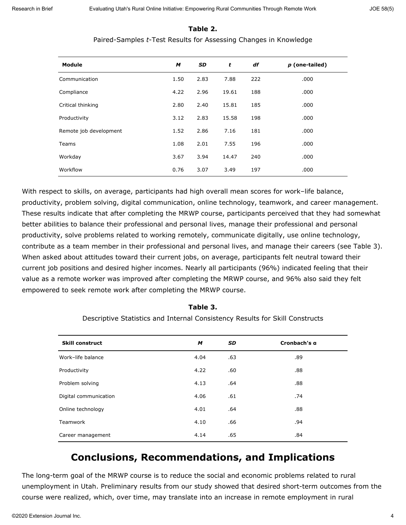| Module                 | M    | <b>SD</b> | t     | df  | p (one-tailed) |
|------------------------|------|-----------|-------|-----|----------------|
| Communication          | 1.50 | 2.83      | 7.88  | 222 | .000           |
| Compliance             | 4.22 | 2.96      | 19.61 | 188 | .000           |
| Critical thinking      | 2.80 | 2.40      | 15.81 | 185 | .000           |
| Productivity           | 3.12 | 2.83      | 15.58 | 198 | .000           |
| Remote job development | 1.52 | 2.86      | 7.16  | 181 | .000           |
| Teams                  | 1.08 | 2.01      | 7.55  | 196 | .000           |
| Workday                | 3.67 | 3.94      | 14.47 | 240 | .000           |
| Workflow               | 0.76 | 3.07      | 3.49  | 197 | .000           |

### **Table 2.** Paired-Samples *t*-Test Results for Assessing Changes in Knowledge

With respect to skills, on average, participants had high overall mean scores for work–life balance, productivity, problem solving, digital communication, online technology, teamwork, and career management. These results indicate that after completing the MRWP course, participants perceived that they had somewhat better abilities to balance their professional and personal lives, manage their professional and personal productivity, solve problems related to working remotely, communicate digitally, use online technology, contribute as a team member in their professional and personal lives, and manage their careers (see Table 3). When asked about attitudes toward their current jobs, on average, participants felt neutral toward their current job positions and desired higher incomes. Nearly all participants (96%) indicated feeling that their value as a remote worker was improved after completing the MRWP course, and 96% also said they felt empowered to seek remote work after completing the MRWP course.

| <b>Skill construct</b> | M    | <b>SD</b> | Cronbach's a |
|------------------------|------|-----------|--------------|
| Work-life balance      | 4.04 | .63       | .89          |
| Productivity           | 4.22 | .60       | .88          |
| Problem solving        | 4.13 | .64       | .88          |
| Digital communication  | 4.06 | .61       | .74          |
| Online technology      | 4.01 | .64       | .88          |
| <b>Teamwork</b>        | 4.10 | .66       | .94          |
| Career management      | 4.14 | .65       | .84          |

### **Table 3.**

Descriptive Statistics and Internal Consistency Results for Skill Constructs

# **Conclusions, Recommendations, and Implications**

The long-term goal of the MRWP course is to reduce the social and economic problems related to rural unemployment in Utah. Preliminary results from our study showed that desired short-term outcomes from the course were realized, which, over time, may translate into an increase in remote employment in rural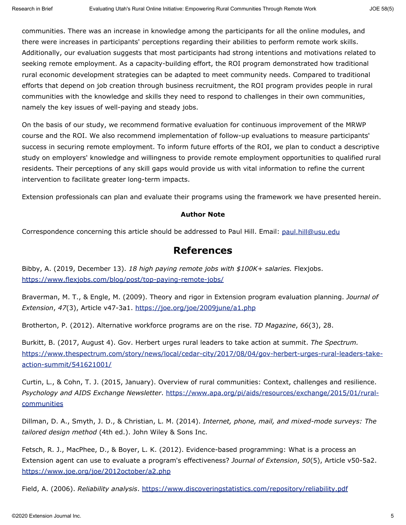communities. There was an increase in knowledge among the participants for all the online modules, and there were increases in participants' perceptions regarding their abilities to perform remote work skills. Additionally, our evaluation suggests that most participants had strong intentions and motivations related to seeking remote employment. As a capacity-building effort, the ROI program demonstrated how traditional rural economic development strategies can be adapted to meet community needs. Compared to traditional efforts that depend on job creation through business recruitment, the ROI program provides people in rural communities with the knowledge and skills they need to respond to challenges in their own communities, namely the key issues of well-paying and steady jobs.

On the basis of our study, we recommend formative evaluation for continuous improvement of the MRWP course and the ROI. We also recommend implementation of follow-up evaluations to measure participants' success in securing remote employment. To inform future efforts of the ROI, we plan to conduct a descriptive study on employers' knowledge and willingness to provide remote employment opportunities to qualified rural residents. Their perceptions of any skill gaps would provide us with vital information to refine the current intervention to facilitate greater long-term impacts.

Extension professionals can plan and evaluate their programs using the framework we have presented herein.

#### **Author Note**

Correspondence concerning this article should be addressed to Paul Hill. Email: [paul.hill@usu.edu](mailto:Paul.Hill@usu.edu)

### **References**

Bibby, A. (2019, December 13). *18 high paying remote jobs with \$100K+ salaries.* Flexjobs. <https://www.flexjobs.com/blog/post/top-paying-remote-jobs/>

Braverman, M. T., & Engle, M. (2009). Theory and rigor in Extension program evaluation planning. *Journal of Extension*, *47*(3), Article v47-3a1.<https://joe.org/joe/2009june/a1.php>

Brotherton, P. (2012). Alternative workforce programs are on the rise. *TD Magazine*, *66*(3), 28.

Burkitt, B. (2017, August 4). Gov. Herbert urges rural leaders to take action at summit. *The Spectrum.* [https://www.thespectrum.com/story/news/local/cedar-city/2017/08/04/gov-herbert-urges-rural-leaders-take](https://www.thespectrum.com/story/news/local/cedar-city/2017/08/04/gov-herbert-urges-rural-leaders-take-action-summit/541621001/)[action-summit/541621001/](https://www.thespectrum.com/story/news/local/cedar-city/2017/08/04/gov-herbert-urges-rural-leaders-take-action-summit/541621001/)

Curtin, L., & Cohn, T. J. (2015, January). Overview of rural communities: Context, challenges and resilience. *Psychology and AIDS Exchange Newsletter*. [https://www.apa.org/pi/aids/resources/exchange/2015/01/rural](https://www.apa.org/pi/aids/resources/exchange/2015/01/rural-communities)[communities](https://www.apa.org/pi/aids/resources/exchange/2015/01/rural-communities)

Dillman, D. A., Smyth, J. D., & Christian, L. M. (2014). *Internet, phone, mail, and mixed-mode surveys: The tailored design method* (4th ed.). John Wiley & Sons Inc.

Fetsch, R. J., MacPhee, D., & Boyer, L. K. (2012). Evidence-based programming: What is a process an Extension agent can use to evaluate a program's effectiveness? *Journal of Extension*, *50*(5), Article v50-5a2. <https://www.joe.org/joe/2012october/a2.php>

Field, A. (2006). *Reliability analysis*.<https://www.discoveringstatistics.com/repository/reliability.pdf>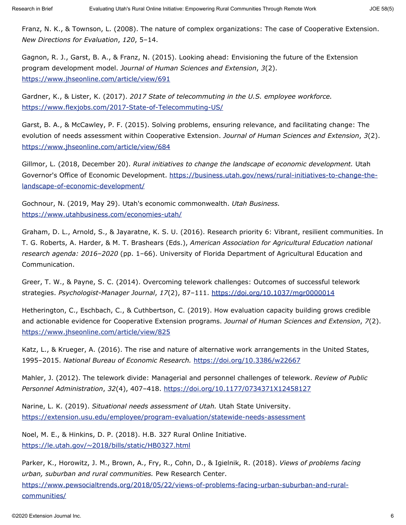Franz, N. K., & Townson, L. (2008). The nature of complex organizations: The case of Cooperative Extension. *New Directions for Evaluation*, *120*, 5–14.

Gagnon, R. J., Garst, B. A., & Franz, N. (2015). Looking ahead: Envisioning the future of the Extension program development model. *Journal of Human Sciences and Extension*, *3*(2). <https://www.jhseonline.com/article/view/691>

Gardner, K., & Lister, K. (2017). *2017 State of telecommuting in the U.S. employee workforce.* <https://www.flexjobs.com/2017-State-of-Telecommuting-US/>

Garst, B. A., & McCawley, P. F. (2015). Solving problems, ensuring relevance, and facilitating change: The evolution of needs assessment within Cooperative Extension. *Journal of Human Sciences and Extension*, *3*(2). <https://www.jhseonline.com/article/view/684>

Gillmor, L. (2018, December 20). *Rural initiatives to change the landscape of economic development.* Utah Governor's Office of Economic Development. [https://business.utah.gov/news/rural-initiatives-to-change-the](https://business.utah.gov/news/rural-initiatives-to-change-the-landscape-of-economic-development/)[landscape-of-economic-development/](https://business.utah.gov/news/rural-initiatives-to-change-the-landscape-of-economic-development/)

Gochnour, N. (2019, May 29). Utah's economic commonwealth. *Utah Business.* <https://www.utahbusiness.com/economies-utah/>

Graham, D. L., Arnold, S., & Jayaratne, K. S. U. (2016). Research priority 6: Vibrant, resilient communities. In T. G. Roberts, A. Harder, & M. T. Brashears (Eds.), *American Association for Agricultural Education national research agenda: 2016–2020* (pp. 1–66). University of Florida Department of Agricultural Education and Communication.

Greer, T. W., & Payne, S. C. (2014). Overcoming telework challenges: Outcomes of successful telework strategies. *Psychologist-Manager Journal*, *17*(2), 87–111.<https://doi.org/10.1037/mgr0000014>

Hetherington, C., Eschbach, C., & Cuthbertson, C. (2019). How evaluation capacity building grows credible and actionable evidence for Cooperative Extension programs. *Journal of Human Sciences and Extension*, *7*(2). <https://www.jhseonline.com/article/view/825>

Katz, L., & Krueger, A. (2016). The rise and nature of alternative work arrangements in the United States, 1995–2015. *National Bureau of Economic Research.* <https://doi.org/10.3386/w22667>

Mahler, J. (2012). The telework divide: Managerial and personnel challenges of telework. *Review of Public Personnel Administration*, *32*(4), 407–418.<https://doi.org/10.1177/0734371X12458127>

Narine, L. K. (2019). *Situational needs assessment of Utah.* Utah State University. <https://extension.usu.edu/employee/program-evaluation/statewide-needs-assessment>

Noel, M. E., & Hinkins, D. P. (2018). H.B. 327 Rural Online Initiative. <https://le.utah.gov/~2018/bills/static/HB0327.html>

Parker, K., Horowitz, J. M., Brown, A., Fry, R., Cohn, D., & Igielnik, R. (2018). *Views of problems facing urban, suburban and rural communities.* Pew Research Center. [https://www.pewsocialtrends.org/2018/05/22/views-of-problems-facing-urban-suburban-and-rural](https://www.pewsocialtrends.org/2018/05/22/views-of-problems-facing-urban-suburban-and-rural-communities/)[communities/](https://www.pewsocialtrends.org/2018/05/22/views-of-problems-facing-urban-suburban-and-rural-communities/)